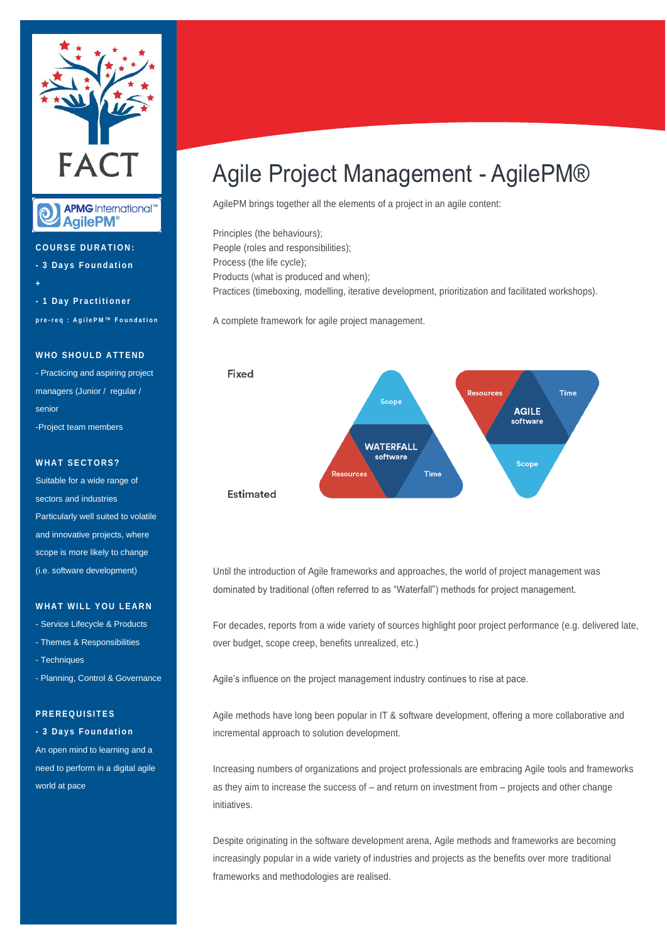

**APMG** International™  $\mathbf{\widehat{Q}}$ **AgilePM**<sup>®</sup>

**C O U R S E D U R A T I O N : - 3 D a y s F o u n d a t i o n + - 1 D a y P r a c t i ti o n e r p r e - r e q : A g i l e P M ™ F o u n d a t i o n**

#### **WHO SHOULD ATTEND**

- Practicing and aspiring project managers (Junior / regular / senior -Project team members

#### **WHAT SECTORS?**

Suitable for a wide range of sectors and industries Particularly well suited to volatile and innovative projects, where scope is more likely to change (i.e. software development)

#### **WHAT WILL YOU LEARN**

- Service Lifecycle & Products

- Themes & Responsibilities
- Techniques
- Planning, Control & Governance

#### **P R E R E Q U I SI T E S**

#### **- 3 D a y s F o u n d a t i o n**

An open mind to learning and a need to perform in a digital agile world at pace

## Agile Project Management - AgilePM®

AgilePM brings together all the elements of a project in an agile content:

Principles (the behaviours); People (roles and responsibilities); Process (the life cycle); Products (what is produced and when); Practices (timeboxing, modelling, iterative development, prioritization and facilitated workshops).

A complete framework for agile project management.



Until the introduction of Agile frameworks and approaches, the world of project management was dominated by traditional (often referred to as "Waterfall") methods for project management.

For decades, reports from a wide variety of sources highlight poor project performance (e.g. delivered late, over budget, scope creep, benefits unrealized, etc.)

Agile's influence on the project management industry continues to rise at pace.

Agile methods have long been popular in IT & software development, offering a more collaborative and incremental approach to solution development.

Increasing numbers of organizations and project professionals are embracing Agile tools and frameworks as they aim to increase the success of – and return on investment from – projects and other change initiatives.

Despite originating in the software development arena, Agile methods and frameworks are becoming increasingly popular in a wide variety of industries and projects as the benefits over more traditional frameworks and methodologies are realised.